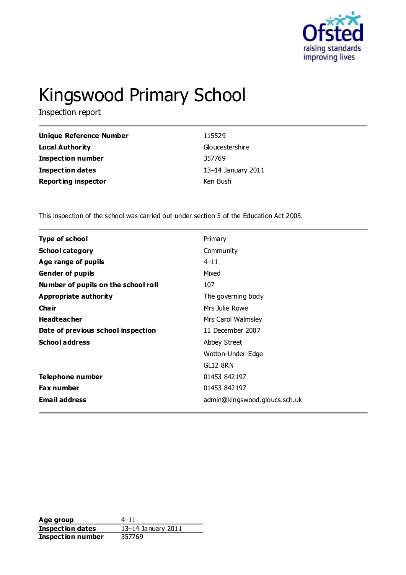

# Kingswood Primary School

Inspection report

| Unique Reference Number    | 115529             |
|----------------------------|--------------------|
| Local Authority            | Gloucestershire    |
| <b>Inspection number</b>   | 357769             |
| Inspection dates           | 13-14 January 2011 |
| <b>Reporting inspector</b> | Ken Bush           |

This inspection of the school was carried out under section 5 of the Education Act 2005.

| <b>Type of school</b>               | Primary                       |
|-------------------------------------|-------------------------------|
| <b>School category</b>              | Community                     |
| Age range of pupils                 | $4 - 11$                      |
| <b>Gender of pupils</b>             | Mixed                         |
| Number of pupils on the school roll | 107                           |
| <b>Appropriate authority</b>        | The governing body            |
| Cha ir                              | Mrs Julie Rowe                |
| <b>Headteacher</b>                  | Mrs Carol Walmsley            |
| Date of previous school inspection  | 11 December 2007              |
| <b>School address</b>               | Abbey Street                  |
|                                     | Wotton-Under-Edge             |
|                                     | <b>GL12 8RN</b>               |
| Telephone number                    | 01453 842197                  |
| <b>Fax number</b>                   | 01453 842197                  |
| <b>Email address</b>                | admin@kingswood.gloucs.sch.uk |
|                                     |                               |

**Age group** 4–11 **Inspection dates** 13–14 January 2011 **Inspection number** 357769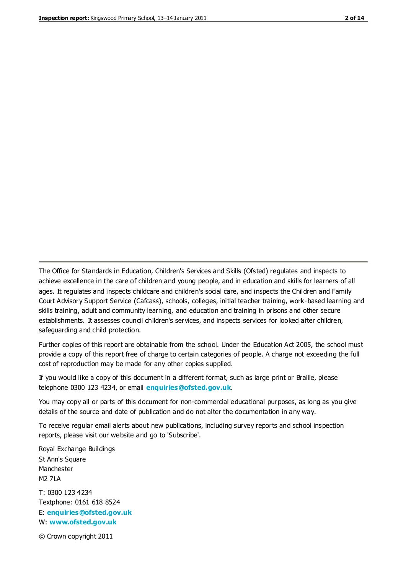The Office for Standards in Education, Children's Services and Skills (Ofsted) regulates and inspects to achieve excellence in the care of children and young people, and in education and skills for learners of all ages. It regulates and inspects childcare and children's social care, and inspects the Children and Family Court Advisory Support Service (Cafcass), schools, colleges, initial teacher training, work-based learning and skills training, adult and community learning, and education and training in prisons and other secure establishments. It assesses council children's services, and inspects services for looked after children, safeguarding and child protection.

Further copies of this report are obtainable from the school. Under the Education Act 2005, the school must provide a copy of this report free of charge to certain categories of people. A charge not exceeding the full cost of reproduction may be made for any other copies supplied.

If you would like a copy of this document in a different format, such as large print or Braille, please telephone 0300 123 4234, or email **[enquiries@ofsted.gov.uk](mailto:enquiries@ofsted.gov.uk)**.

You may copy all or parts of this document for non-commercial educational purposes, as long as you give details of the source and date of publication and do not alter the documentation in any way.

To receive regular email alerts about new publications, including survey reports and school inspection reports, please visit our website and go to 'Subscribe'.

Royal Exchange Buildings St Ann's Square Manchester M2 7LA T: 0300 123 4234 Textphone: 0161 618 8524 E: **[enquiries@ofsted.gov.uk](mailto:enquiries@ofsted.gov.uk)**

W: **[www.ofsted.gov.uk](http://www.ofsted.gov.uk/)**

© Crown copyright 2011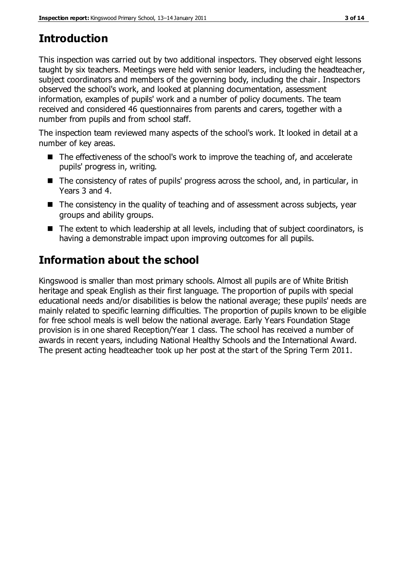# **Introduction**

This inspection was carried out by two additional inspectors. They observed eight lessons taught by six teachers. Meetings were held with senior leaders, including the headteacher, subject coordinators and members of the governing body, including the chair. Inspectors observed the school's work, and looked at planning documentation, assessment information, examples of pupils' work and a number of policy documents. The team received and considered 46 questionnaires from parents and carers, together with a number from pupils and from school staff.

The inspection team reviewed many aspects of the school's work. It looked in detail at a number of key areas.

- The effectiveness of the school's work to improve the teaching of, and accelerate pupils' progress in, writing.
- The consistency of rates of pupils' progress across the school, and, in particular, in Years 3 and 4.
- The consistency in the quality of teaching and of assessment across subjects, year groups and ability groups.
- The extent to which leadership at all levels, including that of subject coordinators, is having a demonstrable impact upon improving outcomes for all pupils.

# **Information about the school**

Kingswood is smaller than most primary schools. Almost all pupils are of White British heritage and speak English as their first language. The proportion of pupils with special educational needs and/or disabilities is below the national average; these pupils' needs are mainly related to specific learning difficulties. The proportion of pupils known to be eligible for free school meals is well below the national average. Early Years Foundation Stage provision is in one shared Reception/Year 1 class. The school has received a number of awards in recent years, including National Healthy Schools and the International Award. The present acting headteacher took up her post at the start of the Spring Term 2011.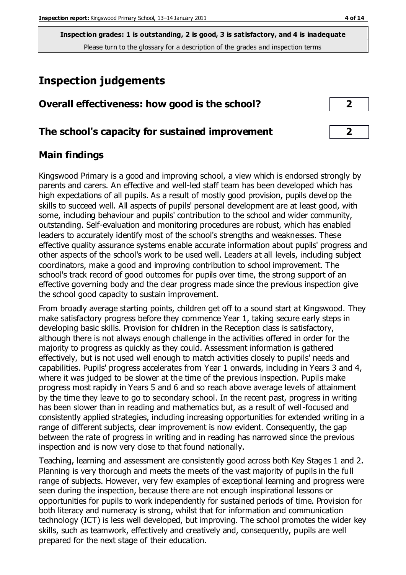# **Inspection judgements**

| Overall effectiveness: how good is the school?  |  |  |
|-------------------------------------------------|--|--|
|                                                 |  |  |
| The school's capacity for sustained improvement |  |  |

## **Main findings**

Kingswood Primary is a good and improving school, a view which is endorsed strongly by parents and carers. An effective and well-led staff team has been developed which has high expectations of all pupils. As a result of mostly good provision, pupils develop the skills to succeed well. All aspects of pupils' personal development are at least good, with some, including behaviour and pupils' contribution to the school and wider community, outstanding. Self-evaluation and monitoring procedures are robust, which has enabled leaders to accurately identify most of the school's strengths and weaknesses. These effective quality assurance systems enable accurate information about pupils' progress and other aspects of the school's work to be used well. Leaders at all levels, including subject coordinators, make a good and improving contribution to school improvement. The school's track record of good outcomes for pupils over time, the strong support of an effective governing body and the clear progress made since the previous inspection give the school good capacity to sustain improvement.

From broadly average starting points, children get off to a sound start at Kingswood. They make satisfactory progress before they commence Year 1, taking secure early steps in developing basic skills. Provision for children in the Reception class is satisfactory, although there is not always enough challenge in the activities offered in order for the majority to progress as quickly as they could. Assessment information is gathered effectively, but is not used well enough to match activities closely to pupils' needs and capabilities. Pupils' progress accelerates from Year 1 onwards, including in Years 3 and 4, where it was judged to be slower at the time of the previous inspection. Pupils make progress most rapidly in Years 5 and 6 and so reach above average levels of attainment by the time they leave to go to secondary school. In the recent past, progress in writing has been slower than in reading and mathematics but, as a result of well-focused and consistently applied strategies, including increasing opportunities for extended writing in a range of different subjects, clear improvement is now evident. Consequently, the gap between the rate of progress in writing and in reading has narrowed since the previous inspection and is now very close to that found nationally.

Teaching, learning and assessment are consistently good across both Key Stages 1 and 2. Planning is very thorough and meets the meets of the vast majority of pupils in the full range of subjects. However, very few examples of exceptional learning and progress were seen during the inspection, because there are not enough inspirational lessons or opportunities for pupils to work independently for sustained periods of time. Provision for both literacy and numeracy is strong, whilst that for information and communication technology (ICT) is less well developed, but improving. The school promotes the wider key skills, such as teamwork, effectively and creatively and, consequently, pupils are well prepared for the next stage of their education.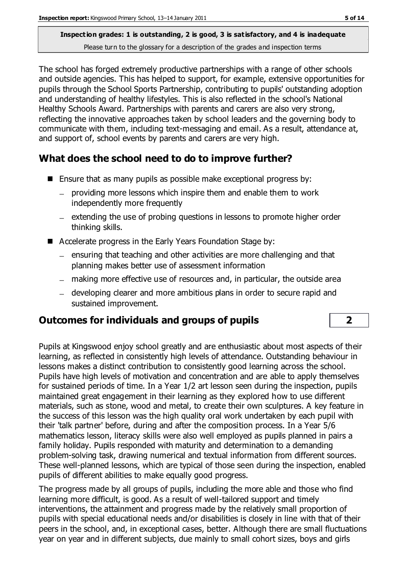The school has forged extremely productive partnerships with a range of other schools and outside agencies. This has helped to support, for example, extensive opportunities for pupils through the School Sports Partnership, contributing to pupils' outstanding adoption and understanding of healthy lifestyles. This is also reflected in the school's National Healthy Schools Award. Partnerships with parents and carers are also very strong, reflecting the innovative approaches taken by school leaders and the governing body to communicate with them, including text-messaging and email. As a result, attendance at, and support of, school events by parents and carers are very high.

# **What does the school need to do to improve further?**

- **Ensure that as many pupils as possible make exceptional progress by:** 
	- $-$  providing more lessons which inspire them and enable them to work independently more frequently
	- $-$  extending the use of probing questions in lessons to promote higher order thinking skills.
- Accelerate progress in the Early Years Foundation Stage by:
	- $-$  ensuring that teaching and other activities are more challenging and that planning makes better use of assessment information
	- making more effective use of resources and, in particular, the outside area
	- developing clearer and more ambitious plans in order to secure rapid and sustained improvement.

# **Outcomes for individuals and groups of pupils 2**

Pupils at Kingswood enjoy school greatly and are enthusiastic about most aspects of their learning, as reflected in consistently high levels of attendance. Outstanding behaviour in lessons makes a distinct contribution to consistently good learning across the school. Pupils have high levels of motivation and concentration and are able to apply themselves for sustained periods of time. In a Year 1/2 art lesson seen during the inspection, pupils maintained great engagement in their learning as they explored how to use different materials, such as stone, wood and metal, to create their own sculptures. A key feature in the success of this lesson was the high quality oral work undertaken by each pupil with their 'talk partner' before, during and after the composition process. In a Year 5/6 mathematics lesson, literacy skills were also well employed as pupils planned in pairs a family holiday. Pupils responded with maturity and determination to a demanding problem-solving task, drawing numerical and textual information from different sources. These well-planned lessons, which are typical of those seen during the inspection, enabled pupils of different abilities to make equally good progress.

The progress made by all groups of pupils, including the more able and those who find learning more difficult, is good. As a result of well-tailored support and timely interventions, the attainment and progress made by the relatively small proportion of pupils with special educational needs and/or disabilities is closely in line with that of their peers in the school, and, in exceptional cases, better. Although there are small fluctuations year on year and in different subjects, due mainly to small cohort sizes, boys and girls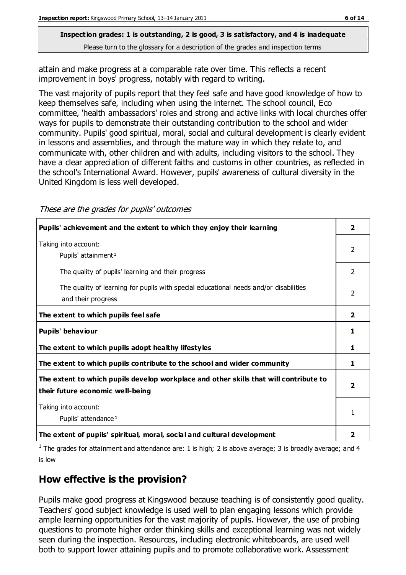attain and make progress at a comparable rate over time. This reflects a recent improvement in boys' progress, notably with regard to writing.

The vast majority of pupils report that they feel safe and have good knowledge of how to keep themselves safe, including when using the internet. The school council, Eco committee, 'health ambassadors' roles and strong and active links with local churches offer ways for pupils to demonstrate their outstanding contribution to the school and wider community. Pupils' good spiritual, moral, social and cultural development is clearly evident in lessons and assemblies, and through the mature way in which they relate to, and communicate with, other children and with adults, including visitors to the school. They have a clear appreciation of different faiths and customs in other countries, as reflected in the school's International Award. However, pupils' awareness of cultural diversity in the United Kingdom is less well developed.

| Pupils' achievement and the extent to which they enjoy their learning                                                     | 2                       |
|---------------------------------------------------------------------------------------------------------------------------|-------------------------|
| Taking into account:<br>Pupils' attainment <sup>1</sup>                                                                   | $\mathcal{P}$           |
| The quality of pupils' learning and their progress                                                                        | $\overline{2}$          |
| The quality of learning for pupils with special educational needs and/or disabilities<br>and their progress               |                         |
| The extent to which pupils feel safe                                                                                      | $\overline{\mathbf{2}}$ |
| Pupils' behaviour                                                                                                         | 1                       |
| The extent to which pupils adopt healthy lifestyles                                                                       | 1                       |
| The extent to which pupils contribute to the school and wider community                                                   | 1                       |
| The extent to which pupils develop workplace and other skills that will contribute to<br>their future economic well-being | 2                       |
| Taking into account:<br>Pupils' attendance <sup>1</sup>                                                                   | 1                       |
| The extent of pupils' spiritual, moral, social and cultural development                                                   | 2                       |

<sup>1</sup> The grades for attainment and attendance are: 1 is high; 2 is above average; 3 is broadly average; and 4 is low

## **How effective is the provision?**

Pupils make good progress at Kingswood because teaching is of consistently good quality. Teachers' good subject knowledge is used well to plan engaging lessons which provide ample learning opportunities for the vast majority of pupils. However, the use of probing questions to promote higher order thinking skills and exceptional learning was not widely seen during the inspection. Resources, including electronic whiteboards, are used well both to support lower attaining pupils and to promote collaborative work. Assessment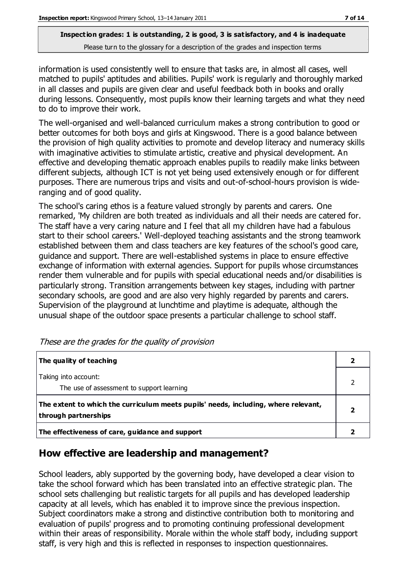information is used consistently well to ensure that tasks are, in almost all cases, well matched to pupils' aptitudes and abilities. Pupils' work is regularly and thoroughly marked in all classes and pupils are given clear and useful feedback both in books and orally during lessons. Consequently, most pupils know their learning targets and what they need to do to improve their work.

The well-organised and well-balanced curriculum makes a strong contribution to good or better outcomes for both boys and girls at Kingswood. There is a good balance between the provision of high quality activities to promote and develop literacy and numeracy skills with imaginative activities to stimulate artistic, creative and physical development. An effective and developing thematic approach enables pupils to readily make links between different subjects, although ICT is not yet being used extensively enough or for different purposes. There are numerous trips and visits and out-of-school-hours provision is wideranging and of good quality.

The school's caring ethos is a feature valued strongly by parents and carers. One remarked, 'My children are both treated as individuals and all their needs are catered for. The staff have a very caring nature and I feel that all my children have had a fabulous start to their school careers.' Well-deployed teaching assistants and the strong teamwork established between them and class teachers are key features of the school's good care, guidance and support. There are well-established systems in place to ensure effective exchange of information with external agencies. Support for pupils whose circumstances render them vulnerable and for pupils with special educational needs and/or disabilities is particularly strong. Transition arrangements between key stages, including with partner secondary schools, are good and are also very highly regarded by parents and carers. Supervision of the playground at lunchtime and playtime is adequate, although the unusual shape of the outdoor space presents a particular challenge to school staff.

| The quality of teaching                                                                                    |  |
|------------------------------------------------------------------------------------------------------------|--|
| Taking into account:<br>The use of assessment to support learning                                          |  |
| The extent to which the curriculum meets pupils' needs, including, where relevant,<br>through partnerships |  |
| The effectiveness of care, guidance and support                                                            |  |

These are the grades for the quality of provision

## **How effective are leadership and management?**

School leaders, ably supported by the governing body, have developed a clear vision to take the school forward which has been translated into an effective strategic plan. The school sets challenging but realistic targets for all pupils and has developed leadership capacity at all levels, which has enabled it to improve since the previous inspection. Subject coordinators make a strong and distinctive contribution both to monitoring and evaluation of pupils' progress and to promoting continuing professional development within their areas of responsibility. Morale within the whole staff body, including support staff, is very high and this is reflected in responses to inspection questionnaires.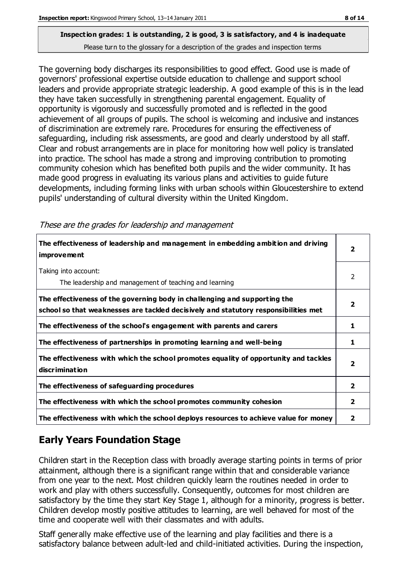The governing body discharges its responsibilities to good effect. Good use is made of governors' professional expertise outside education to challenge and support school leaders and provide appropriate strategic leadership. A good example of this is in the lead they have taken successfully in strengthening parental engagement. Equality of opportunity is vigorously and successfully promoted and is reflected in the good achievement of all groups of pupils. The school is welcoming and inclusive and instances of discrimination are extremely rare. Procedures for ensuring the effectiveness of safeguarding, including risk assessments, are good and clearly understood by all staff. Clear and robust arrangements are in place for monitoring how well policy is translated into practice. The school has made a strong and improving contribution to promoting community cohesion which has benefited both pupils and the wider community. It has made good progress in evaluating its various plans and activities to guide future developments, including forming links with urban schools within Gloucestershire to extend pupils' understanding of cultural diversity within the United Kingdom.

**The effectiveness of leadership and management in embedding ambition and driving improvement** Taking into account: The leadership and management of teaching and learning **The effectiveness of the governing body in challenging and supporting the school so that weaknesses are tackled decisively and statutory responsibilities met The effectiveness of the school's engagement with parents and carers**  $\begin{array}{c} \hline \end{array}$  **1 The effectiveness of partnerships in promoting learning and well-being 1 The effectiveness with which the school promotes equality of opportunity and tackles discrimination**

These are the grades for leadership and management

# **Early Years Foundation Stage**

Children start in the Reception class with broadly average starting points in terms of prior attainment, although there is a significant range within that and considerable variance from one year to the next. Most children quickly learn the routines needed in order to work and play with others successfully. Consequently, outcomes for most children are satisfactory by the time they start Key Stage 1, although for a minority, progress is better. Children develop mostly positive attitudes to learning, are well behaved for most of the time and cooperate well with their classmates and with adults.

**The effectiveness of safeguarding procedures 2**

**The effectiveness with which the school promotes community cohesion 2**

**The effectiveness with which the school deploys resources to achieve value for money 2**

Staff generally make effective use of the learning and play facilities and there is a satisfactory balance between adult-led and child-initiated activities. During the inspection,

**2**

 $\overline{2}$ 

**2**

**2**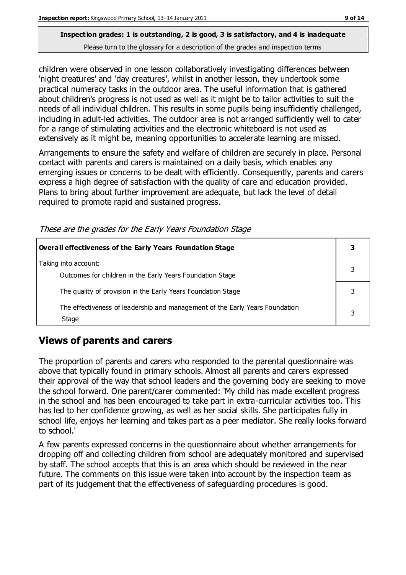children were observed in one lesson collaboratively investigating differences between 'night creatures' and 'day creatures', whilst in another lesson, they undertook some practical numeracy tasks in the outdoor area. The useful information that is gathered about children's progress is not used as well as it might be to tailor activities to suit the needs of all individual children. This results in some pupils being insufficiently challenged, including in adult-led activities. The outdoor area is not arranged sufficiently well to cater for a range of stimulating activities and the electronic whiteboard is not used as extensively as it might be, meaning opportunities to accelerate learning are missed.

Arrangements to ensure the safety and welfare of children are securely in place. Personal contact with parents and carers is maintained on a daily basis, which enables any emerging issues or concerns to be dealt with efficiently. Consequently, parents and carers express a high degree of satisfaction with the quality of care and education provided. Plans to bring about further improvement are adequate, but lack the level of detail required to promote rapid and sustained progress.

| THESE are the grades for the Larry Teal's Foundation Stage                        |   |
|-----------------------------------------------------------------------------------|---|
| Overall effectiveness of the Early Years Foundation Stage                         |   |
| Taking into account:<br>Outcomes for children in the Early Years Foundation Stage | 3 |
| The quality of provision in the Early Years Foundation Stage                      | 3 |
| The effectiveness of leadership and management of the Early Years Foundation      |   |

These are the grades for the Early Years Foundation Stage

## **Views of parents and carers**

Stage

The proportion of parents and carers who responded to the parental questionnaire was above that typically found in primary schools. Almost all parents and carers expressed their approval of the way that school leaders and the governing body are seeking to move the school forward. One parent/carer commented: 'My child has made excellent progress in the school and has been encouraged to take part in extra-curricular activities too. This has led to her confidence growing, as well as her social skills. She participates fully in school life, enjoys her learning and takes part as a peer mediator. She really looks forward to school.'

A few parents expressed concerns in the questionnaire about whether arrangements for dropping off and collecting children from school are adequately monitored and supervised by staff. The school accepts that this is an area which should be reviewed in the near future. The comments on this issue were taken into account by the inspection team as part of its judgement that the effectiveness of safeguarding procedures is good.

3

3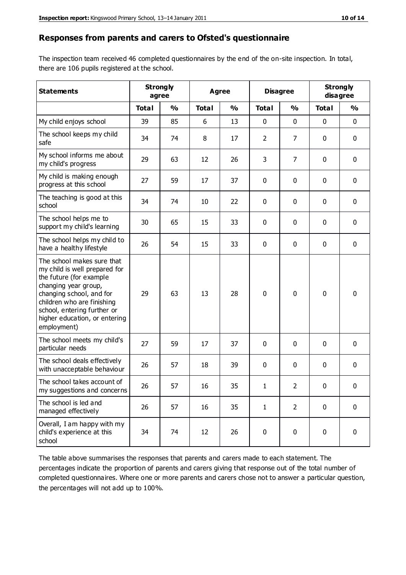#### **Responses from parents and carers to Ofsted's questionnaire**

The inspection team received 46 completed questionnaires by the end of the on-site inspection. In total, there are 106 pupils registered at the school.

| <b>Statements</b>                                                                                                                                                                                                                                       | <b>Strongly</b><br>agree |               | Agree        |               | <b>Disagree</b> |                | <b>Strongly</b><br>disagree |               |
|---------------------------------------------------------------------------------------------------------------------------------------------------------------------------------------------------------------------------------------------------------|--------------------------|---------------|--------------|---------------|-----------------|----------------|-----------------------------|---------------|
|                                                                                                                                                                                                                                                         | <b>Total</b>             | $\frac{0}{0}$ | <b>Total</b> | $\frac{0}{0}$ | <b>Total</b>    | $\frac{0}{0}$  | <b>Total</b>                | $\frac{1}{2}$ |
| My child enjoys school                                                                                                                                                                                                                                  | 39                       | 85            | 6            | 13            | 0               | 0              | $\mathbf 0$                 | $\mathbf 0$   |
| The school keeps my child<br>safe                                                                                                                                                                                                                       | 34                       | 74            | 8            | 17            | $\overline{2}$  | $\overline{7}$ | $\mathbf 0$                 | $\mathbf 0$   |
| My school informs me about<br>my child's progress                                                                                                                                                                                                       | 29                       | 63            | 12           | 26            | 3               | $\overline{7}$ | $\mathbf{0}$                | $\mathbf 0$   |
| My child is making enough<br>progress at this school                                                                                                                                                                                                    | 27                       | 59            | 17           | 37            | 0               | 0              | 0                           | $\mathbf 0$   |
| The teaching is good at this<br>school                                                                                                                                                                                                                  | 34                       | 74            | 10           | 22            | 0               | 0              | $\mathbf 0$                 | $\mathbf 0$   |
| The school helps me to<br>support my child's learning                                                                                                                                                                                                   | 30                       | 65            | 15           | 33            | 0               | 0              | $\mathbf 0$                 | $\mathbf 0$   |
| The school helps my child to<br>have a healthy lifestyle                                                                                                                                                                                                | 26                       | 54            | 15           | 33            | 0               | 0              | $\mathbf 0$                 | $\mathbf 0$   |
| The school makes sure that<br>my child is well prepared for<br>the future (for example<br>changing year group,<br>changing school, and for<br>children who are finishing<br>school, entering further or<br>higher education, or entering<br>employment) | 29                       | 63            | 13           | 28            | $\mathbf 0$     | $\mathbf{0}$   | $\mathbf 0$                 | $\mathbf 0$   |
| The school meets my child's<br>particular needs                                                                                                                                                                                                         | 27                       | 59            | 17           | 37            | 0               | $\mathbf{0}$   | $\mathbf 0$                 | $\mathbf 0$   |
| The school deals effectively<br>with unacceptable behaviour                                                                                                                                                                                             | 26                       | 57            | 18           | 39            | 0               | 0              | 0                           | $\mathbf 0$   |
| The school takes account of<br>my suggestions and concerns                                                                                                                                                                                              | 26                       | 57            | 16           | 35            | 1               | $\overline{2}$ | 0                           | 0             |
| The school is led and<br>managed effectively                                                                                                                                                                                                            | 26                       | 57            | 16           | 35            | $\mathbf{1}$    | $\overline{2}$ | $\mathbf 0$                 | $\mathbf 0$   |
| Overall, I am happy with my<br>child's experience at this<br>school                                                                                                                                                                                     | 34                       | 74            | 12           | 26            | $\pmb{0}$       | 0              | $\mathbf 0$                 | $\mathbf 0$   |

The table above summarises the responses that parents and carers made to each statement. The percentages indicate the proportion of parents and carers giving that response out of the total number of completed questionnaires. Where one or more parents and carers chose not to answer a particular question, the percentages will not add up to 100%.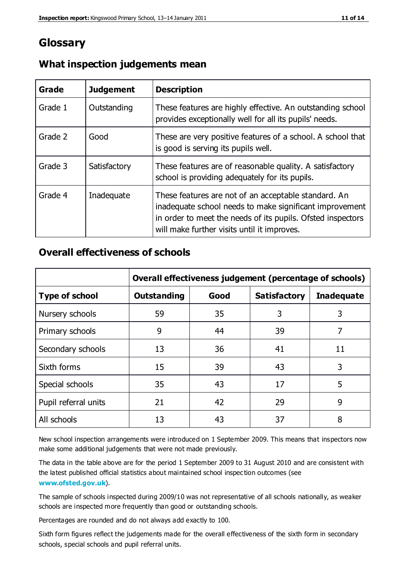# **Glossary**

| Grade   | <b>Judgement</b> | <b>Description</b>                                                                                                                                                                                                            |
|---------|------------------|-------------------------------------------------------------------------------------------------------------------------------------------------------------------------------------------------------------------------------|
| Grade 1 | Outstanding      | These features are highly effective. An outstanding school<br>provides exceptionally well for all its pupils' needs.                                                                                                          |
| Grade 2 | Good             | These are very positive features of a school. A school that<br>is good is serving its pupils well.                                                                                                                            |
| Grade 3 | Satisfactory     | These features are of reasonable quality. A satisfactory<br>school is providing adequately for its pupils.                                                                                                                    |
| Grade 4 | Inadequate       | These features are not of an acceptable standard. An<br>inadequate school needs to make significant improvement<br>in order to meet the needs of its pupils. Ofsted inspectors<br>will make further visits until it improves. |

### **What inspection judgements mean**

### **Overall effectiveness of schools**

|                       | Overall effectiveness judgement (percentage of schools) |      |                     |                   |
|-----------------------|---------------------------------------------------------|------|---------------------|-------------------|
| <b>Type of school</b> | <b>Outstanding</b>                                      | Good | <b>Satisfactory</b> | <b>Inadequate</b> |
| Nursery schools       | 59                                                      | 35   | 3                   | 3                 |
| Primary schools       | 9                                                       | 44   | 39                  | 7                 |
| Secondary schools     | 13                                                      | 36   | 41                  | 11                |
| Sixth forms           | 15                                                      | 39   | 43                  | 3                 |
| Special schools       | 35                                                      | 43   | 17                  | 5                 |
| Pupil referral units  | 21                                                      | 42   | 29                  | 9                 |
| All schools           | 13                                                      | 43   | 37                  | 8                 |

New school inspection arrangements were introduced on 1 September 2009. This means that inspectors now make some additional judgements that were not made previously.

The data in the table above are for the period 1 September 2009 to 31 August 2010 and are consistent with the latest published official statistics about maintained school inspec tion outcomes (see **[www.ofsted.gov.uk](http://www.ofsted.gov.uk/)**).

The sample of schools inspected during 2009/10 was not representative of all schools nationally, as weaker schools are inspected more frequently than good or outstanding schools.

Percentages are rounded and do not always add exactly to 100.

Sixth form figures reflect the judgements made for the overall effectiveness of the sixth form in secondary schools, special schools and pupil referral units.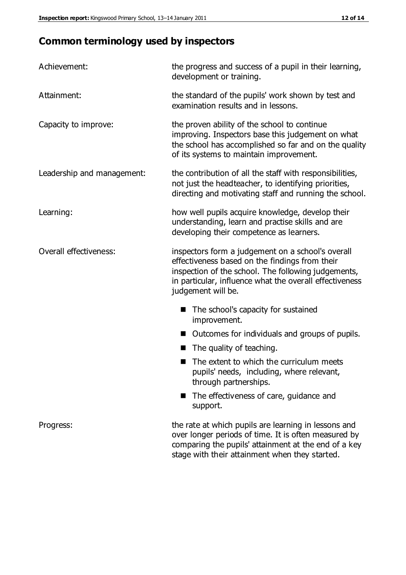# **Common terminology used by inspectors**

| Achievement:                  | the progress and success of a pupil in their learning,<br>development or training.                                                                                                                                                          |  |  |
|-------------------------------|---------------------------------------------------------------------------------------------------------------------------------------------------------------------------------------------------------------------------------------------|--|--|
| Attainment:                   | the standard of the pupils' work shown by test and<br>examination results and in lessons.                                                                                                                                                   |  |  |
| Capacity to improve:          | the proven ability of the school to continue<br>improving. Inspectors base this judgement on what<br>the school has accomplished so far and on the quality<br>of its systems to maintain improvement.                                       |  |  |
| Leadership and management:    | the contribution of all the staff with responsibilities,<br>not just the headteacher, to identifying priorities,<br>directing and motivating staff and running the school.                                                                  |  |  |
| Learning:                     | how well pupils acquire knowledge, develop their<br>understanding, learn and practise skills and are<br>developing their competence as learners.                                                                                            |  |  |
| <b>Overall effectiveness:</b> | inspectors form a judgement on a school's overall<br>effectiveness based on the findings from their<br>inspection of the school. The following judgements,<br>in particular, influence what the overall effectiveness<br>judgement will be. |  |  |
|                               | The school's capacity for sustained<br>improvement.                                                                                                                                                                                         |  |  |
|                               | Outcomes for individuals and groups of pupils.                                                                                                                                                                                              |  |  |
|                               | The quality of teaching.                                                                                                                                                                                                                    |  |  |
|                               | The extent to which the curriculum meets<br>pupils' needs, including, where relevant,<br>through partnerships.                                                                                                                              |  |  |
|                               | The effectiveness of care, guidance and<br>support.                                                                                                                                                                                         |  |  |
| Progress:                     | the rate at which pupils are learning in lessons and<br>over longer periods of time. It is often measured by<br>comparing the pupils' attainment at the end of a key                                                                        |  |  |

stage with their attainment when they started.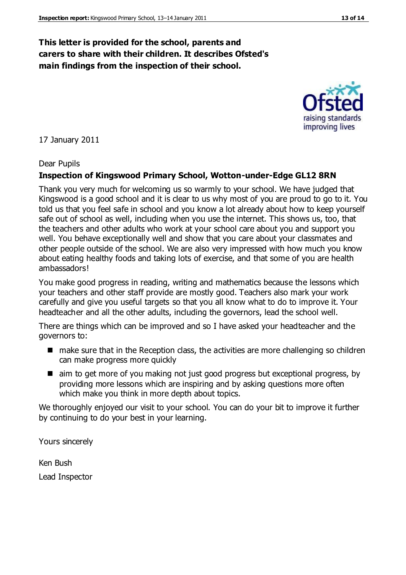### **This letter is provided for the school, parents and carers to share with their children. It describes Ofsted's main findings from the inspection of their school.**

17 January 2011

#### Dear Pupils

#### **Inspection of Kingswood Primary School, Wotton-under-Edge GL12 8RN**

Thank you very much for welcoming us so warmly to your school. We have judged that Kingswood is a good school and it is clear to us why most of you are proud to go to it. You told us that you feel safe in school and you know a lot already about how to keep yourself safe out of school as well, including when you use the internet. This shows us, too, that the teachers and other adults who work at your school care about you and support you well. You behave exceptionally well and show that you care about your classmates and other people outside of the school. We are also very impressed with how much you know about eating healthy foods and taking lots of exercise, and that some of you are health ambassadors!

You make good progress in reading, writing and mathematics because the lessons which your teachers and other staff provide are mostly good. Teachers also mark your work carefully and give you useful targets so that you all know what to do to improve it. Your headteacher and all the other adults, including the governors, lead the school well.

There are things which can be improved and so I have asked your headteacher and the governors to:

- make sure that in the Reception class, the activities are more challenging so children can make progress more quickly
- aim to get more of you making not just good progress but exceptional progress, by providing more lessons which are inspiring and by asking questions more often which make you think in more depth about topics.

We thoroughly enjoyed our visit to your school. You can do your bit to improve it further by continuing to do your best in your learning.

Yours sincerely

Ken Bush Lead Inspector